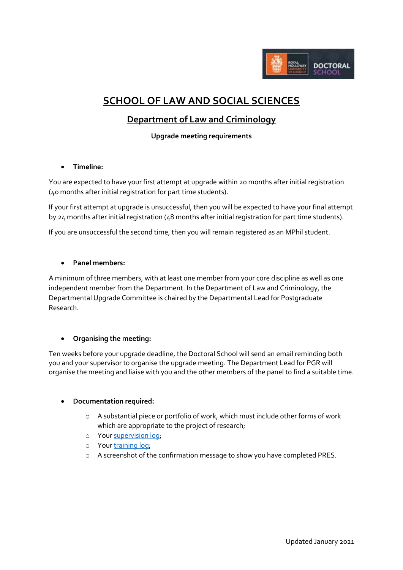

# **SCHOOL OF LAW AND SOCIAL SCIENCES**

# **Department of Law and Criminology**

**Upgrade meeting requirements**

**Timeline:**

You are expected to have your first attempt at upgrade within 20 months after initial registration (40 months after initial registration for part time students).

If your first attempt at upgrade is unsuccessful, then you will be expected to have your final attempt by 24 months after initial registration (48 months after initial registration for part time students).

If you are unsuccessful the second time, then you will remain registered as an MPhil student.

## **Panel members:**

A minimum of three members, with at least one member from your core discipline as well as one independent member from the Department. In the Department of Law and Criminology, the Departmental Upgrade Committee is chaired by the Departmental Lead for Postgraduate Research.

#### **Organising the meeting:**

Ten weeks before your upgrade deadline, the Doctoral School will send an email reminding both you and your supervisor to organise the upgrade meeting. The Department Lead for PGR will organise the meeting and liaise with you and the other members of the panel to find a suitable time.

#### **Documentation required:**

- o A substantial piece or portfolio of work, which must include other forms of work which are appropriate to the project of research;
- o Your [supervision log;](https://intranet.royalholloway.ac.uk/doctoral-school/assets/docs/doc/pgr-record-of-supervisor-contacts.docx)
- o Your [training log;](https://intranet.royalholloway.ac.uk/doctoral-school/assets/docs/doc/new-research-log.docx)
- o A screenshot of the confirmation message to show you have completed PRES.